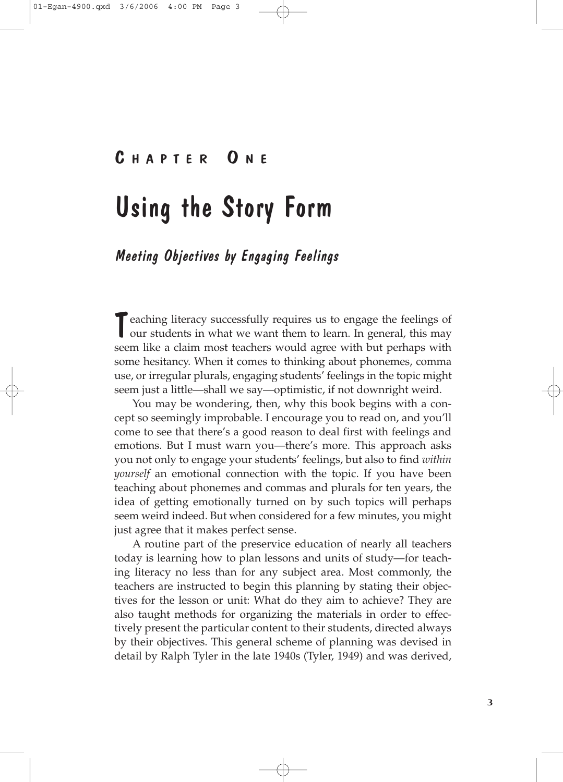# C HAPTER O N E

# Using the Story Form

## Meeting Objectives by Engaging Feelings

T eaching literacy successfully requires us to engage the feelings of<br>our students in what we want them to learn. In general, this may seem like a claim most teachers would agree with but perhaps with some hesitancy. When it comes to thinking about phonemes, comma use, or irregular plurals, engaging students' feelings in the topic might seem just a little—shall we say—optimistic, if not downright weird.

You may be wondering, then, why this book begins with a concept so seemingly improbable. I encourage you to read on, and you'll come to see that there's a good reason to deal first with feelings and emotions. But I must warn you—there's more. This approach asks you not only to engage your students' feelings, but also to find *within yourself* an emotional connection with the topic. If you have been teaching about phonemes and commas and plurals for ten years, the idea of getting emotionally turned on by such topics will perhaps seem weird indeed. But when considered for a few minutes, you might just agree that it makes perfect sense.

A routine part of the preservice education of nearly all teachers today is learning how to plan lessons and units of study—for teaching literacy no less than for any subject area. Most commonly, the teachers are instructed to begin this planning by stating their objectives for the lesson or unit: What do they aim to achieve? They are also taught methods for organizing the materials in order to effectively present the particular content to their students, directed always by their objectives. This general scheme of planning was devised in detail by Ralph Tyler in the late 1940s (Tyler, 1949) and was derived,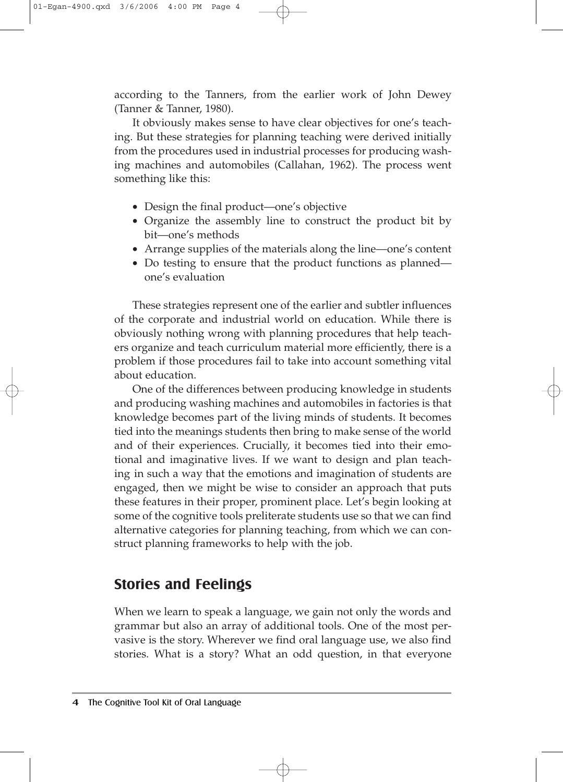according to the Tanners, from the earlier work of John Dewey (Tanner & Tanner, 1980).

It obviously makes sense to have clear objectives for one's teaching. But these strategies for planning teaching were derived initially from the procedures used in industrial processes for producing washing machines and automobiles (Callahan, 1962). The process went something like this:

- Design the final product—one's objective
- Organize the assembly line to construct the product bit by bit—one's methods
- Arrange supplies of the materials along the line—one's content
- Do testing to ensure that the product functions as planned one's evaluation

These strategies represent one of the earlier and subtler influences of the corporate and industrial world on education. While there is obviously nothing wrong with planning procedures that help teachers organize and teach curriculum material more efficiently, there is a problem if those procedures fail to take into account something vital about education.

One of the differences between producing knowledge in students and producing washing machines and automobiles in factories is that knowledge becomes part of the living minds of students. It becomes tied into the meanings students then bring to make sense of the world and of their experiences. Crucially, it becomes tied into their emotional and imaginative lives. If we want to design and plan teaching in such a way that the emotions and imagination of students are engaged, then we might be wise to consider an approach that puts these features in their proper, prominent place. Let's begin looking at some of the cognitive tools preliterate students use so that we can find alternative categories for planning teaching, from which we can construct planning frameworks to help with the job.

### **Stories and Feelings**

When we learn to speak a language, we gain not only the words and grammar but also an array of additional tools. One of the most pervasive is the story. Wherever we find oral language use, we also find stories. What is a story? What an odd question, in that everyone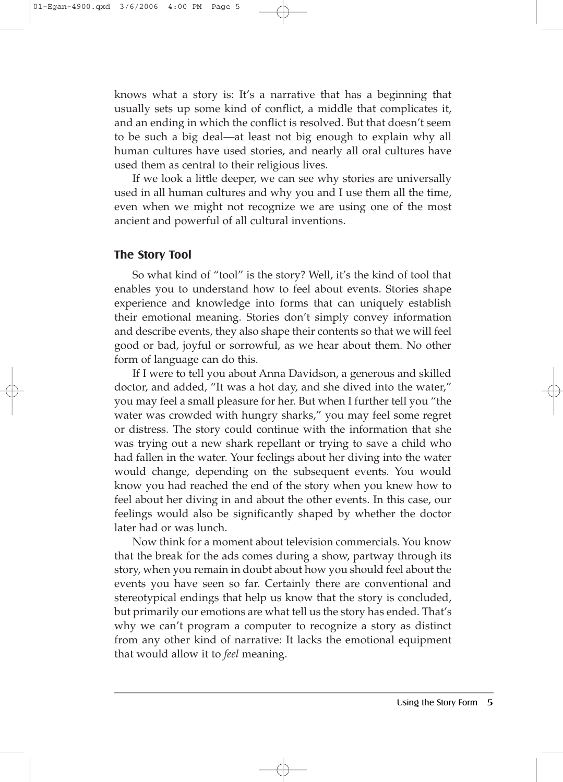knows what a story is: It's a narrative that has a beginning that usually sets up some kind of conflict, a middle that complicates it, and an ending in which the conflict is resolved. But that doesn't seem to be such a big deal—at least not big enough to explain why all human cultures have used stories, and nearly all oral cultures have used them as central to their religious lives.

If we look a little deeper, we can see why stories are universally used in all human cultures and why you and I use them all the time, even when we might not recognize we are using one of the most ancient and powerful of all cultural inventions.

#### **The Story Tool**

So what kind of "tool" is the story? Well, it's the kind of tool that enables you to understand how to feel about events. Stories shape experience and knowledge into forms that can uniquely establish their emotional meaning. Stories don't simply convey information and describe events, they also shape their contents so that we will feel good or bad, joyful or sorrowful, as we hear about them. No other form of language can do this.

If I were to tell you about Anna Davidson, a generous and skilled doctor, and added, "It was a hot day, and she dived into the water," you may feel a small pleasure for her. But when I further tell you "the water was crowded with hungry sharks," you may feel some regret or distress. The story could continue with the information that she was trying out a new shark repellant or trying to save a child who had fallen in the water. Your feelings about her diving into the water would change, depending on the subsequent events. You would know you had reached the end of the story when you knew how to feel about her diving in and about the other events. In this case, our feelings would also be significantly shaped by whether the doctor later had or was lunch.

Now think for a moment about television commercials. You know that the break for the ads comes during a show, partway through its story, when you remain in doubt about how you should feel about the events you have seen so far. Certainly there are conventional and stereotypical endings that help us know that the story is concluded, but primarily our emotions are what tell us the story has ended. That's why we can't program a computer to recognize a story as distinct from any other kind of narrative: It lacks the emotional equipment that would allow it to *feel* meaning.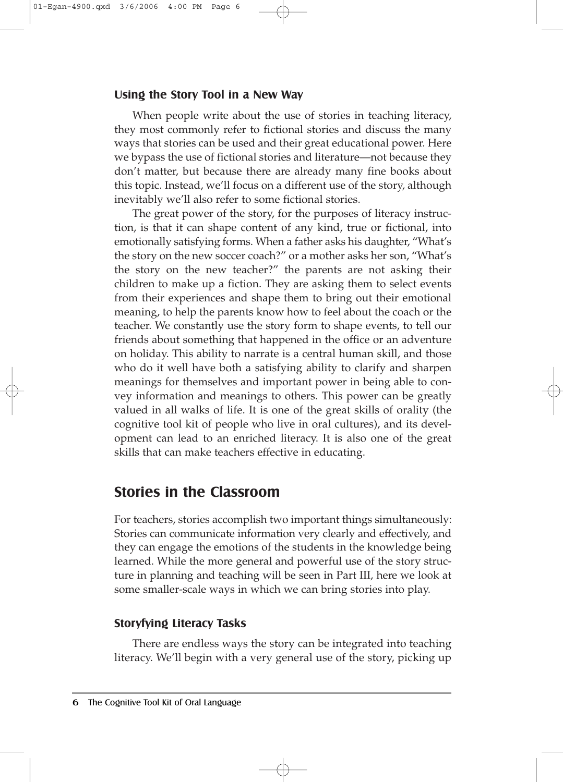#### **Using the Story Tool in a New Way**

When people write about the use of stories in teaching literacy, they most commonly refer to fictional stories and discuss the many ways that stories can be used and their great educational power. Here we bypass the use of fictional stories and literature—not because they don't matter, but because there are already many fine books about this topic. Instead, we'll focus on a different use of the story, although inevitably we'll also refer to some fictional stories.

The great power of the story, for the purposes of literacy instruction, is that it can shape content of any kind, true or fictional, into emotionally satisfying forms. When a father asks his daughter, "What's the story on the new soccer coach?" or a mother asks her son, "What's the story on the new teacher?" the parents are not asking their children to make up a fiction. They are asking them to select events from their experiences and shape them to bring out their emotional meaning, to help the parents know how to feel about the coach or the teacher. We constantly use the story form to shape events, to tell our friends about something that happened in the office or an adventure on holiday. This ability to narrate is a central human skill, and those who do it well have both a satisfying ability to clarify and sharpen meanings for themselves and important power in being able to convey information and meanings to others. This power can be greatly valued in all walks of life. It is one of the great skills of orality (the cognitive tool kit of people who live in oral cultures), and its development can lead to an enriched literacy. It is also one of the great skills that can make teachers effective in educating.

## **Stories in the Classroom**

For teachers, stories accomplish two important things simultaneously: Stories can communicate information very clearly and effectively, and they can engage the emotions of the students in the knowledge being learned. While the more general and powerful use of the story structure in planning and teaching will be seen in Part III, here we look at some smaller-scale ways in which we can bring stories into play.

#### **Storyfying Literacy Tasks**

There are endless ways the story can be integrated into teaching literacy. We'll begin with a very general use of the story, picking up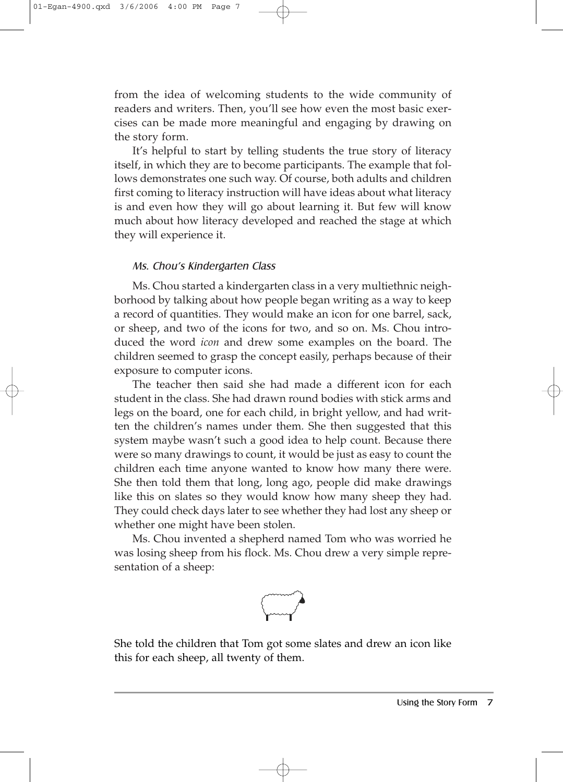from the idea of welcoming students to the wide community of readers and writers. Then, you'll see how even the most basic exercises can be made more meaningful and engaging by drawing on the story form.

It's helpful to start by telling students the true story of literacy itself, in which they are to become participants. The example that follows demonstrates one such way. Of course, both adults and children first coming to literacy instruction will have ideas about what literacy is and even how they will go about learning it. But few will know much about how literacy developed and reached the stage at which they will experience it.

#### Ms. Chou's Kindergarten Class

Ms. Chou started a kindergarten class in a very multiethnic neighborhood by talking about how people began writing as a way to keep a record of quantities. They would make an icon for one barrel, sack, or sheep, and two of the icons for two, and so on. Ms. Chou introduced the word *icon* and drew some examples on the board. The children seemed to grasp the concept easily, perhaps because of their exposure to computer icons.

The teacher then said she had made a different icon for each student in the class. She had drawn round bodies with stick arms and legs on the board, one for each child, in bright yellow, and had written the children's names under them. She then suggested that this system maybe wasn't such a good idea to help count. Because there were so many drawings to count, it would be just as easy to count the children each time anyone wanted to know how many there were. She then told them that long, long ago, people did make drawings like this on slates so they would know how many sheep they had. They could check days later to see whether they had lost any sheep or whether one might have been stolen.

Ms. Chou invented a shepherd named Tom who was worried he was losing sheep from his flock. Ms. Chou drew a very simple representation of a sheep:



She told the children that Tom got some slates and drew an icon like this for each sheep, all twenty of them.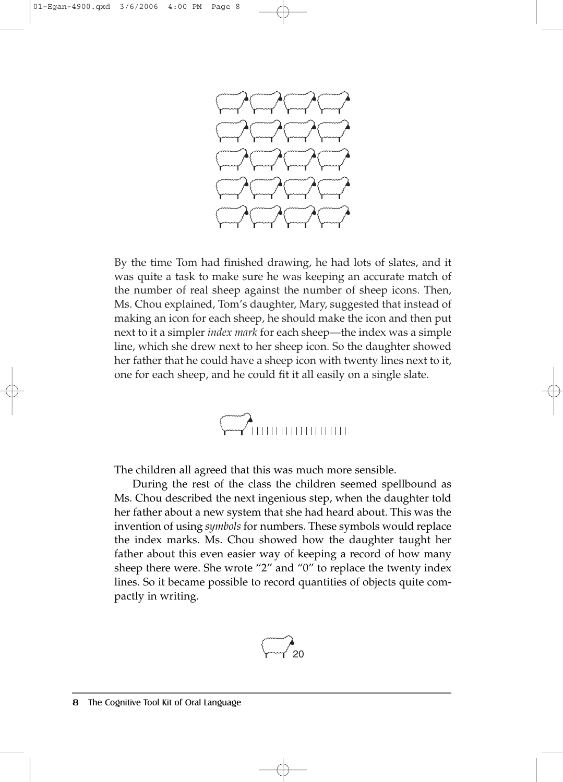

By the time Tom had finished drawing, he had lots of slates, and it was quite a task to make sure he was keeping an accurate match of the number of real sheep against the number of sheep icons. Then, Ms. Chou explained, Tom's daughter, Mary, suggested that instead of making an icon for each sheep, he should make the icon and then put next to it a simpler *index mark* for each sheep—the index was a simple line, which she drew next to her sheep icon. So the daughter showed her father that he could have a sheep icon with twenty lines next to it, one for each sheep, and he could fit it all easily on a single slate.



The children all agreed that this was much more sensible.

During the rest of the class the children seemed spellbound as Ms. Chou described the next ingenious step, when the daughter told her father about a new system that she had heard about. This was the invention of using *symbols* for numbers. These symbols would replace the index marks. Ms. Chou showed how the daughter taught her father about this even easier way of keeping a record of how many sheep there were. She wrote "2" and "0" to replace the twenty index lines. So it became possible to record quantities of objects quite compactly in writing.

$$
\begin{pmatrix} 1 & 0 \\ 0 & -1 \end{pmatrix}
$$

8 The Cognitive Tool Kit of Oral Language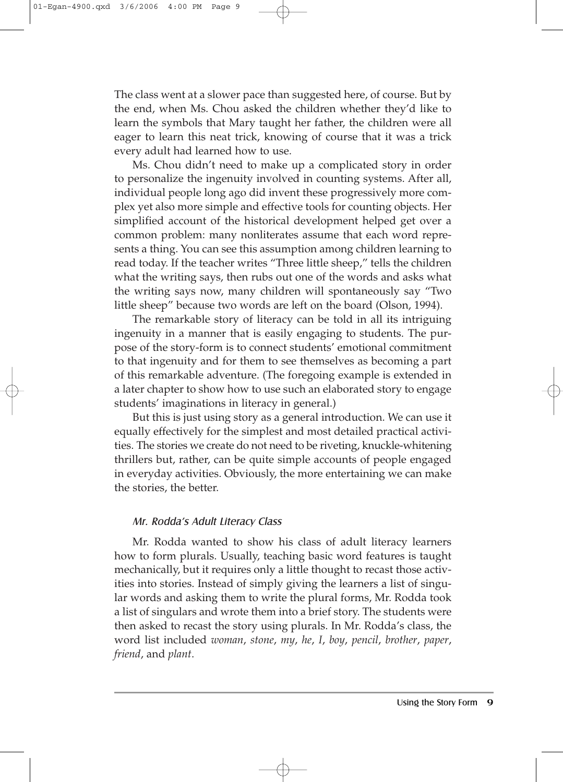The class went at a slower pace than suggested here, of course. But by the end, when Ms. Chou asked the children whether they'd like to learn the symbols that Mary taught her father, the children were all eager to learn this neat trick, knowing of course that it was a trick every adult had learned how to use.

Ms. Chou didn't need to make up a complicated story in order to personalize the ingenuity involved in counting systems. After all, individual people long ago did invent these progressively more complex yet also more simple and effective tools for counting objects. Her simplified account of the historical development helped get over a common problem: many nonliterates assume that each word represents a thing. You can see this assumption among children learning to read today. If the teacher writes "Three little sheep," tells the children what the writing says, then rubs out one of the words and asks what the writing says now, many children will spontaneously say "Two little sheep" because two words are left on the board (Olson, 1994).

The remarkable story of literacy can be told in all its intriguing ingenuity in a manner that is easily engaging to students. The purpose of the story-form is to connect students' emotional commitment to that ingenuity and for them to see themselves as becoming a part of this remarkable adventure. (The foregoing example is extended in a later chapter to show how to use such an elaborated story to engage students' imaginations in literacy in general.)

But this is just using story as a general introduction. We can use it equally effectively for the simplest and most detailed practical activities. The stories we create do not need to be riveting, knuckle-whitening thrillers but, rather, can be quite simple accounts of people engaged in everyday activities. Obviously, the more entertaining we can make the stories, the better.

#### Mr. Rodda's Adult Literacy Class

Mr. Rodda wanted to show his class of adult literacy learners how to form plurals. Usually, teaching basic word features is taught mechanically, but it requires only a little thought to recast those activities into stories. Instead of simply giving the learners a list of singular words and asking them to write the plural forms, Mr. Rodda took a list of singulars and wrote them into a brief story. The students were then asked to recast the story using plurals. In Mr. Rodda's class, the word list included *woman*, *stone*, *my*, *he*, *I*, *boy*, *pencil*, *brother*, *paper*, *friend*, and *plant*.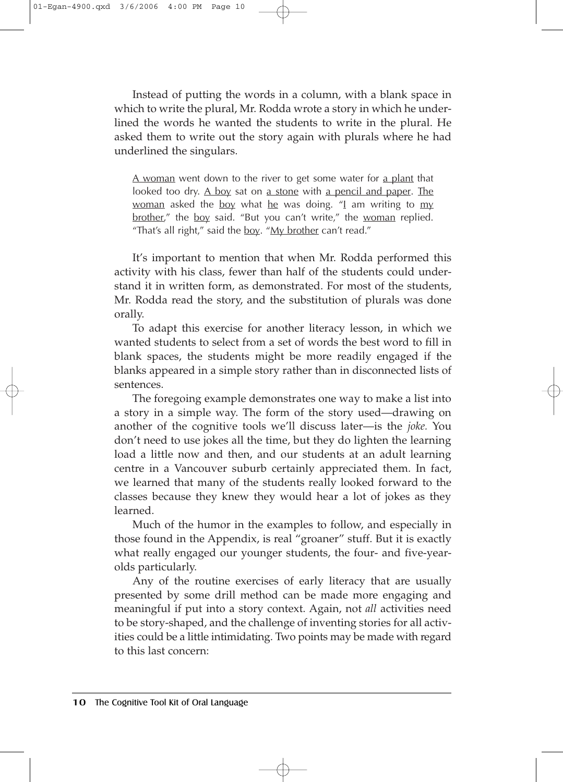Instead of putting the words in a column, with a blank space in which to write the plural, Mr. Rodda wrote a story in which he underlined the words he wanted the students to write in the plural. He asked them to write out the story again with plurals where he had underlined the singulars.

A woman went down to the river to get some water for a plant that looked too dry. A boy sat on a stone with a pencil and paper. The woman asked the boy what he was doing.  $\frac{m}{2}$  am writing to my brother," the boy said. "But you can't write," the woman replied. "That's all right," said the boy. " $My$  brother can't read."

It's important to mention that when Mr. Rodda performed this activity with his class, fewer than half of the students could understand it in written form, as demonstrated. For most of the students, Mr. Rodda read the story, and the substitution of plurals was done orally.

To adapt this exercise for another literacy lesson, in which we wanted students to select from a set of words the best word to fill in blank spaces, the students might be more readily engaged if the blanks appeared in a simple story rather than in disconnected lists of sentences.

The foregoing example demonstrates one way to make a list into a story in a simple way. The form of the story used—drawing on another of the cognitive tools we'll discuss later—is the *joke.* You don't need to use jokes all the time, but they do lighten the learning load a little now and then, and our students at an adult learning centre in a Vancouver suburb certainly appreciated them. In fact, we learned that many of the students really looked forward to the classes because they knew they would hear a lot of jokes as they learned.

Much of the humor in the examples to follow, and especially in those found in the Appendix, is real "groaner" stuff. But it is exactly what really engaged our younger students, the four- and five-yearolds particularly.

Any of the routine exercises of early literacy that are usually presented by some drill method can be made more engaging and meaningful if put into a story context. Again, not *all* activities need to be story-shaped, and the challenge of inventing stories for all activities could be a little intimidating. Two points may be made with regard to this last concern: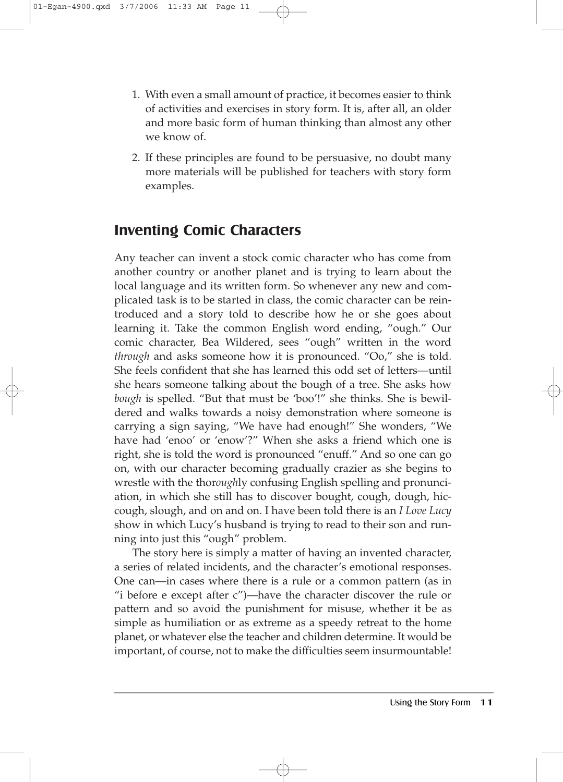- 1. With even a small amount of practice, it becomes easier to think of activities and exercises in story form. It is, after all, an older and more basic form of human thinking than almost any other we know of.
- 2. If these principles are found to be persuasive, no doubt many more materials will be published for teachers with story form examples.

## **Inventing Comic Characters**

Any teacher can invent a stock comic character who has come from another country or another planet and is trying to learn about the local language and its written form. So whenever any new and complicated task is to be started in class, the comic character can be reintroduced and a story told to describe how he or she goes about learning it. Take the common English word ending, "ough." Our comic character, Bea Wildered, sees "ough" written in the word *through* and asks someone how it is pronounced. "Oo," she is told. She feels confident that she has learned this odd set of letters—until she hears someone talking about the bough of a tree. She asks how *bough* is spelled. "But that must be 'boo'!" she thinks. She is bewildered and walks towards a noisy demonstration where someone is carrying a sign saying, "We have had enough!" She wonders, "We have had 'enoo' or 'enow'?" When she asks a friend which one is right, she is told the word is pronounced "enuff." And so one can go on, with our character becoming gradually crazier as she begins to wrestle with the thor*ough*ly confusing English spelling and pronunciation, in which she still has to discover bought, cough, dough, hiccough, slough, and on and on. I have been told there is an *I Love Lucy* show in which Lucy's husband is trying to read to their son and running into just this "ough" problem.

The story here is simply a matter of having an invented character, a series of related incidents, and the character's emotional responses. One can—in cases where there is a rule or a common pattern (as in "i before e except after c")—have the character discover the rule or pattern and so avoid the punishment for misuse, whether it be as simple as humiliation or as extreme as a speedy retreat to the home planet, or whatever else the teacher and children determine. It would be important, of course, not to make the difficulties seem insurmountable!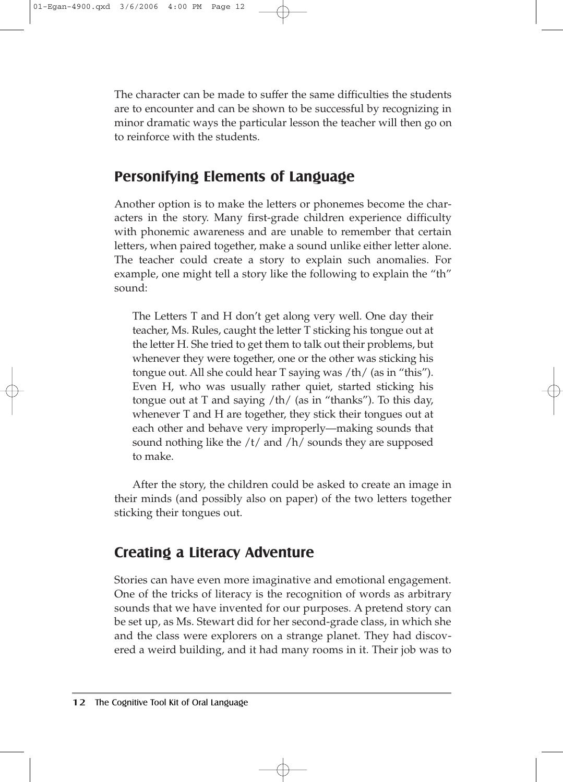The character can be made to suffer the same difficulties the students are to encounter and can be shown to be successful by recognizing in minor dramatic ways the particular lesson the teacher will then go on to reinforce with the students.

## **Personifying Elements of Language**

Another option is to make the letters or phonemes become the characters in the story. Many first-grade children experience difficulty with phonemic awareness and are unable to remember that certain letters, when paired together, make a sound unlike either letter alone. The teacher could create a story to explain such anomalies. For example, one might tell a story like the following to explain the "th" sound:

The Letters T and H don't get along very well. One day their teacher, Ms. Rules, caught the letter T sticking his tongue out at the letter H. She tried to get them to talk out their problems, but whenever they were together, one or the other was sticking his tongue out. All she could hear T saying was /th/ (as in "this"). Even H, who was usually rather quiet, started sticking his tongue out at T and saying /th/ (as in "thanks"). To this day, whenever T and H are together, they stick their tongues out at each other and behave very improperly––making sounds that sound nothing like the /t/ and /h/ sounds they are supposed to make.

After the story, the children could be asked to create an image in their minds (and possibly also on paper) of the two letters together sticking their tongues out.

## **Creating a Literacy Adventure**

Stories can have even more imaginative and emotional engagement. One of the tricks of literacy is the recognition of words as arbitrary sounds that we have invented for our purposes. A pretend story can be set up, as Ms. Stewart did for her second-grade class, in which she and the class were explorers on a strange planet. They had discovered a weird building, and it had many rooms in it. Their job was to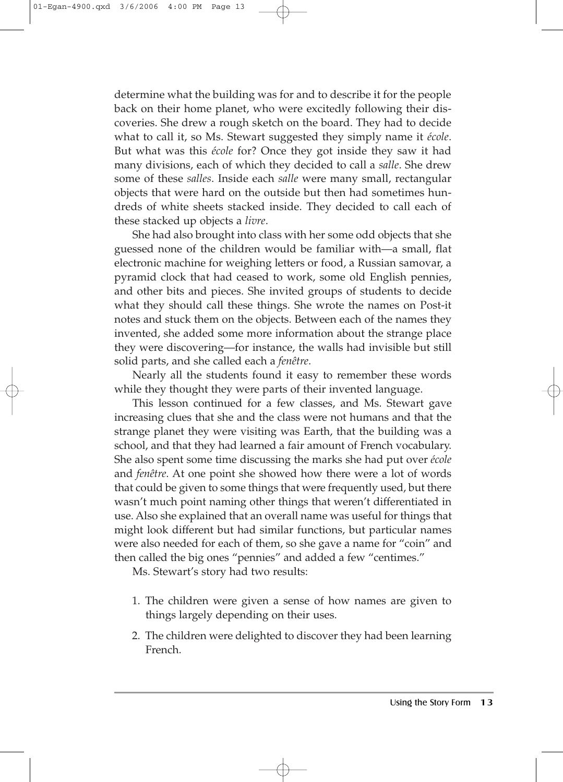determine what the building was for and to describe it for the people back on their home planet, who were excitedly following their discoveries. She drew a rough sketch on the board. They had to decide what to call it, so Ms. Stewart suggested they simply name it *école*. But what was this *école* for? Once they got inside they saw it had many divisions, each of which they decided to call a *salle*. She drew some of these *salles*. Inside each *salle* were many small, rectangular objects that were hard on the outside but then had sometimes hundreds of white sheets stacked inside. They decided to call each of these stacked up objects a *livre*.

She had also brought into class with her some odd objects that she guessed none of the children would be familiar with—a small, flat electronic machine for weighing letters or food, a Russian samovar, a pyramid clock that had ceased to work, some old English pennies, and other bits and pieces. She invited groups of students to decide what they should call these things. She wrote the names on Post-it notes and stuck them on the objects. Between each of the names they invented, she added some more information about the strange place they were discovering—for instance, the walls had invisible but still solid parts, and she called each a *fenêtre*.

Nearly all the students found it easy to remember these words while they thought they were parts of their invented language.

This lesson continued for a few classes, and Ms. Stewart gave increasing clues that she and the class were not humans and that the strange planet they were visiting was Earth, that the building was a school, and that they had learned a fair amount of French vocabulary. She also spent some time discussing the marks she had put over *école* and *fenêtre*. At one point she showed how there were a lot of words that could be given to some things that were frequently used, but there wasn't much point naming other things that weren't differentiated in use. Also she explained that an overall name was useful for things that might look different but had similar functions, but particular names were also needed for each of them, so she gave a name for "coin" and then called the big ones "pennies" and added a few "centimes."

Ms. Stewart's story had two results:

- 1. The children were given a sense of how names are given to things largely depending on their uses.
- 2. The children were delighted to discover they had been learning French.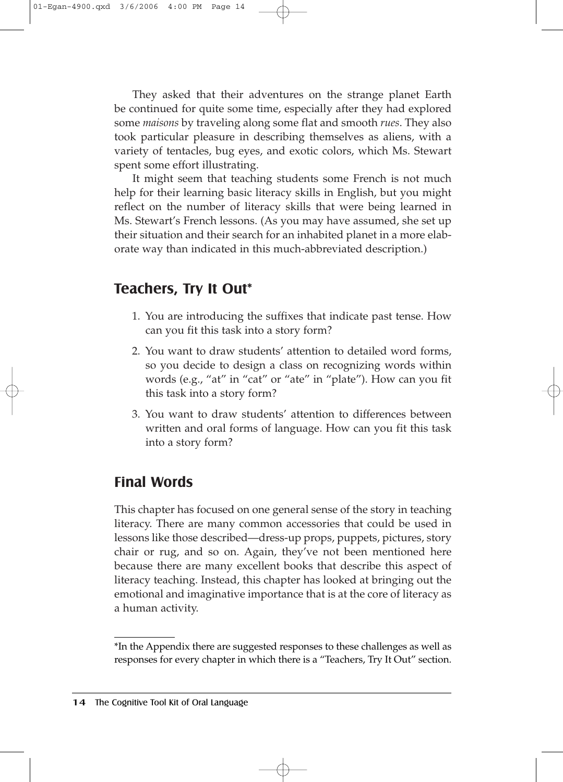They asked that their adventures on the strange planet Earth be continued for quite some time, especially after they had explored some *maisons* by traveling along some flat and smooth *rues*. They also took particular pleasure in describing themselves as aliens, with a variety of tentacles, bug eyes, and exotic colors, which Ms. Stewart spent some effort illustrating.

It might seem that teaching students some French is not much help for their learning basic literacy skills in English, but you might reflect on the number of literacy skills that were being learned in Ms. Stewart's French lessons. (As you may have assumed, she set up their situation and their search for an inhabited planet in a more elaborate way than indicated in this much-abbreviated description.)

## **Teachers, Try It Out\***

- 1. You are introducing the suffixes that indicate past tense. How can you fit this task into a story form?
- 2. You want to draw students' attention to detailed word forms, so you decide to design a class on recognizing words within words (e.g., "at" in "cat" or "ate" in "plate"). How can you fit this task into a story form?
- 3. You want to draw students' attention to differences between written and oral forms of language. How can you fit this task into a story form?

## **Final Words**

This chapter has focused on one general sense of the story in teaching literacy. There are many common accessories that could be used in lessons like those described—dress-up props, puppets, pictures, story chair or rug, and so on. Again, they've not been mentioned here because there are many excellent books that describe this aspect of literacy teaching. Instead, this chapter has looked at bringing out the emotional and imaginative importance that is at the core of literacy as a human activity.

<sup>\*</sup>In the Appendix there are suggested responses to these challenges as well as responses for every chapter in which there is a "Teachers, Try It Out" section.